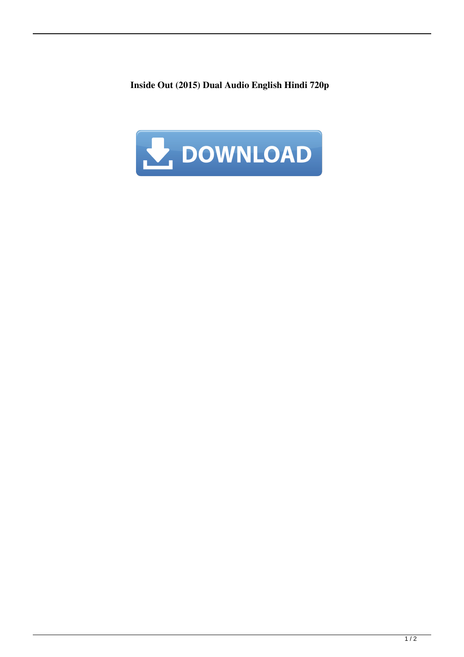**Inside Out (2015) Dual Audio English Hindi 720p**